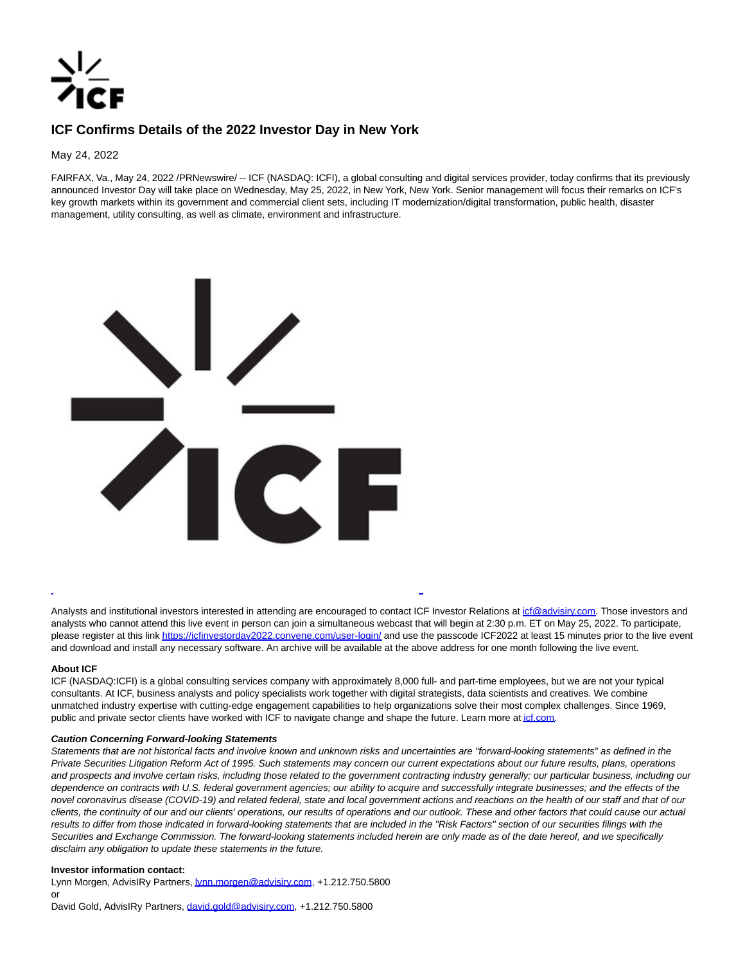

## **ICF Confirms Details of the 2022 Investor Day in New York**

May 24, 2022

FAIRFAX, Va., May 24, 2022 /PRNewswire/ -- ICF (NASDAQ: ICFI), a global consulting and digital services provider, today confirms that its previously announced Investor Day will take place on Wednesday, May 25, 2022, in New York, New York. Senior management will focus their remarks on ICF's key growth markets within its government and commercial client sets, including IT modernization/digital transformation, public health, disaster management, utility consulting, as well as climate, environment and infrastructure.



Analysts and institutional investors interested in attending are encouraged to contact ICF Investor Relations at [icf@advisiry.com.](mailto:icf@advisiry.com) Those investors and analysts who cannot attend this live event in person can join a simultaneous webcast that will begin at 2:30 p.m. ET on May 25, 2022. To participate, please register at this lin[k https://icfinvestorday2022.convene.com/user-login/ a](https://c212.net/c/link/?t=0&l=en&o=3546646-1&h=2005727105&u=https%3A%2F%2Ficfinvestorday2022.convene.com%2Fuser-login%2F&a=https%3A%2F%2Ficfinvestorday2022.convene.com%2Fuser-login%2F)nd use the passcode ICF2022 at least 15 minutes prior to the live event and download and install any necessary software. An archive will be available at the above address for one month following the live event.

L

## **About ICF**

ICF (NASDAQ:ICFI) is a global consulting services company with approximately 8,000 full- and part-time employees, but we are not your typical consultants. At ICF, business analysts and policy specialists work together with digital strategists, data scientists and creatives. We combine unmatched industry expertise with cutting-edge engagement capabilities to help organizations solve their most complex challenges. Since 1969, public and private sector clients have worked with ICF to navigate change and shape the future. Learn more a[t icf.com.](https://c212.net/c/link/?t=0&l=en&o=3546646-1&h=2368897279&u=https%3A%2F%2Fwww.icf.com%2F&a=icf.com)

## **Caution Concerning Forward-looking Statements**

Statements that are not historical facts and involve known and unknown risks and uncertainties are "forward-looking statements" as defined in the Private Securities Litigation Reform Act of 1995. Such statements may concern our current expectations about our future results, plans, operations and prospects and involve certain risks, including those related to the government contracting industry generally; our particular business, including our dependence on contracts with U.S. federal government agencies; our ability to acquire and successfully integrate businesses; and the effects of the novel coronavirus disease (COVID-19) and related federal, state and local government actions and reactions on the health of our staff and that of our clients, the continuity of our and our clients' operations, our results of operations and our outlook. These and other factors that could cause our actual results to differ from those indicated in forward-looking statements that are included in the "Risk Factors" section of our securities filings with the Securities and Exchange Commission. The forward-looking statements included herein are only made as of the date hereof, and we specifically disclaim any obligation to update these statements in the future.

## **Investor information contact:**

Lynn Morgen, AdvisIRy Partners[, lynn.morgen@advisiry.com,](mailto:lynn.morgen@advisiry.com) +1.212.750.5800 or David Gold, AdvisIRy Partners, [david.gold@advisiry.com,](mailto:david.gold@advisiry.com) +1.212.750.5800